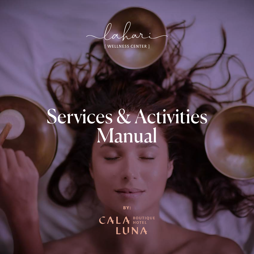Cahari

WELLNESS CENTER

# Services & Activities Manual

BY:

**CALA BOUTIQUE**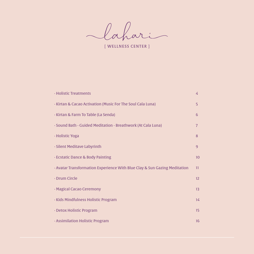Cahari

[ WELLNESS CENTER ]

| · Holistic Treatments                                                     | $\frac{2}{3}$  |
|---------------------------------------------------------------------------|----------------|
| · Kirtan & Cacao Activation (Music For The Soul Cala Luna)                | 5              |
| · Kirtan & Farm To Table (La Senda)                                       | 6              |
| · Sound Bath - Guided Meditation - Breathwork (At Cala Luna)              | 7              |
| · Holistic Yoga                                                           | 8              |
| · Silent Meditave Labyrinth                                               | $\overline{9}$ |
| · Ecstatic Dance & Body Painting                                          | 10             |
| · Avatar Transformation Experience With Blue Clay & Sun Gazing Meditation | 11             |
| · Drum Circle                                                             | 12             |
| · Magical Cacao Ceremony                                                  | 13             |
| · Kids Mindfulness Holistic Program                                       | 14             |
| · Detox Holistic Program                                                  | 15             |
| · Assimilation Holistic Program                                           | 16             |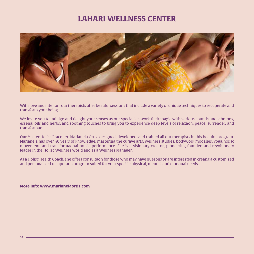## **LAHARI WELLNESS CENTER**



With love and intenon, our therapists offer beauful sessions that include a variety of unique techniques to recuperate and transform your being.

We invite you to indulge and delight your senses as our specialists work their magic with various sounds and vibraons, essenal oils and herbs, and soothing touches to bring you to experience deep levels of relaxaon, peace, surrender, and transformaon.

Our Master Holisc Praconer, Marianela Ortiz, designed, developed, and trained all our therapists in this beauful program. Marianela has over 40 years of knowledge, mastering the curave arts, wellness studies, bodywork modalies, yoga/holisc movement, and transformaonal music performance. She is a visionary creator, pioneering founder, and revoluonary leader in the Holisc Wellness world and as a Wellness Manager.

As a Holisc Health Coach, she offers consultaon for those who may have quesons or are interested in creang a customized and personalized recuperaon program suited for your specific physical, mental, and emoonal needs.

**More info: www.marianelaortiz.com**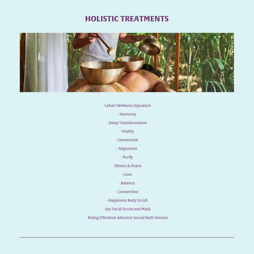# **HOLISTIC TREATMENTS**



· Lahari Wellness Signature

· Harmony

· Deep Transformation

· Vitality

· Connection

· Alignment

· Purify

· Sllness & Peace

· Love

· Balance

· Connection

· Happiness Body Scrub

· Joy Facial Scrub and Mask

· Rising Vibration Advance Sound Bath Session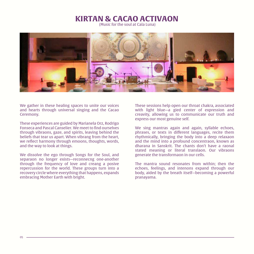### **KIRTAN & CACAO ACTIVAON**

(Music for the soul at Cala Luna)



We gather in these healing spaces to unite our voices and hearts through universal singing and the Cacao Ceremony.

These experiences are guided by Marianela Orz, Rodrigo Fonseca and Pascal Canselier. We meet to find ourselves through vibraons, gaze, and spirits, leaving behind the beliefs that tear us apart. When vibrang from the heart, we reflect harmony through emoons, thoughts, words, and the way to look at things.

We dissolve the ego through Songs for the Soul, and separaon no longer exists—reconnecng one-another through the frequency of love and creang a posive repercussion for the world. These groups turn into a recovery circle where everything that happens, expands embracing Mother Earth with bright.

These sessions help open our throat chakra, associated with light blue—a gied center of expression and creavity, allowing us to communicate our truth and express our most genuine self.

We sing mantras again and again, syllable echoes, phrases, or texts in different languages, recite them rhythmically, bringing the body into a deep relaxaon and the mind into a profound concentraon, known as dharana in Sanskrit. The chants don't have a raonal stated meaning or literal translaon. Our vibraons generate the transformaon in our cells.

The mantra sound resonates from within; then the echoes, feelings, and intenons expand through our body, aided by the breath itself—becoming a powerful pranayama.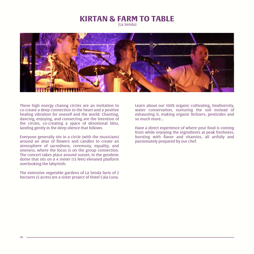#### **KIRTAN & FARM TO TABLE** (La Senda)

These high energy channg circles are an invitation to co-create a deep connection to the heart and a positive healing vibration for oneself and the world. Chanting, dancing, enjoying, and connecting are the intention of the circles, co-creating a space of devotional bliss, landing gently in the deep silence that follows.

Everyone generally sits in a circle (with the musicians) around an altar of flowers and candles to create an atmosphere of sacredness, ceremony, equality, and oneness, where the focus is on the group connection. The concert takes place around sunset, in the geodesic dome that sits on a 4 meter (13 feet) elevated platform overlooking the labyrinth.

The extensive vegetable gardens of La Senda farm of 2 hectares (5 acres) are a sister project of Hotel Cala Luna. Learn about our 100% organic cultivating, biodiversity, water conservation, nurturing the soil instead of exhausting it, making organic ferlizers, pesticides and so much more...

Have a direct experience of where your food is coming from while enjoying the ingredients at peak freshness, bursting with flavor and vitamins, all artfully and passionately prepared by our chef.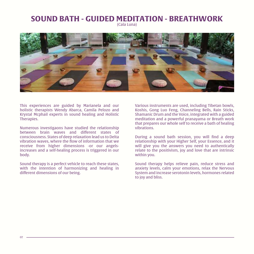# **SOUND BATH - GUIDED MEDITATION - BREATHWORK**

(Cala Luna)



This experiences are guided by Marianela and our holistic therapists Wendy Abarca, Camila Pelozo and Krystal Mcphail experts in sound healing and Holistic Therapies.

Numerous investigaons have studied the relationship between brain waves and different states of consciousness. States of deep relaxation lead us to Delta vibration waves, where the flow of information that we receive from higher dimensions -or our angelsincreases and a self-healing process is triggered in our body.

Sound therapy is a perfect vehicle to reach these states, with the intention of harmonizing and healing in different dimensions of our being.

Various instruments are used, including Tibetan bowls, Koshis, Gong Luo Feng, Channeling Bells, Rain Sticks, Shamanic Drum and the Voice, integrated with a guided meditation and a powerful pranayama or Breath work that prepares our whole self to receive a bath of healing vibrations.

During a sound bath session, you will find a deep relationship with your Higher Self, your Essence, and it will give you the answers you need to authentically relate to the positivism, joy and love that are intrinsic within you.

Sound therapy helps relieve pain, reduce stress and anxiety levels, calm your emotions, relax the Nervous System and increase serotonin levels, hormones related to joy and bliss.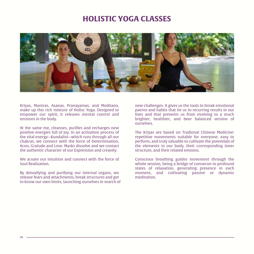## **HOLISTIC YOGA CLASSES**



Kriyas, Mantras, Asanas, Pranayamas, and Meditaon, make up this rich mixture of Holisc Yoga. Designed to empower our spirit, it releases mental control and tensions in the body.

At the same me, cleanses, purifies and recharges new positive energies full of joy. In an activation process of the vital energy—Kundalini—which runs through all our chakras, we connect with the force of Determination, Acon, Gratude and Love. Masks dissolve and we contact the authentic character of our Expression and creavity.

We acvate our Intuition and connect with the force of Soul Realization.

By detoxifying and purifying our internal organs, we release fears and attachments, break structures and get to know our own limits, launching ourselves in search of new challenges. It gives us the tools to break emotional paerns and habits that tie us to recurring results in our lives and that prevents us from evolving to a much brighter, healthier, and beer balanced version of ourselves.

The Kriyas are based on Tradional Chinese Medicine: repetitive movements suitable for everyone, easy to perform, and truly valuable to cultivate the potentials of the elements in our body, their corresponding inner structure, and their related emoons.

Conscious breathing guides movement through the whole session, being a bridge of connecon to profound states of relaxation, generating presence in each moment, and cultivating passive or dynamic meditation.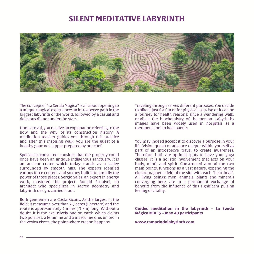# **SILENT MEDITATIVE LABYRINTH**



The concept of "La Senda Mágica" is all about opening to a unique magical experience: an introspecve path in the biggest labyrinth of the world, followed by a casual and delicious dinner under the stars.

Upon arrival, you receive an explanation referring to the how and the why of its construction history. A meditation teacher guides you through this practice and after this inspiring walk, you are the guest of a healthy gourmet supper prepared by our chef.

Specialists consulted, consider that the property could once have been an antique indigenous sanctuary. It is an ancient crater which today stands as a valley surrounded by smooth hills. The experts idenfied various force centers, and so they built it to amplify the power of those places. Sergio Salas, an expert in energy work, mastered the project. Ronald Esquivel, an architect who specializes in sacred geometry and labyrinth design, carried it out.

Both gentlemen are Costa Ricans. As the largest in the field; it measures over than 2,5 acres (1 hectare) and the route is approximately 2 miles ( 3 km) long. Without a doubt, it is the exclusively one on earth which claims two polaries, a feminine and a masculine one, united in the Vesica Pisces, the point where creaon happens.

Traveling through serves different purposes. You decide to hike it just for fun or for physical exercise or it can be a journey for health reasons; since a wandering walk, readjust the biochemistry of the person. Labyrinths images have been widely used in hospitals as a therapeuc tool to heal paents.

You may indeed accept it to discover a purpose in your life (vision quest) or advance deeper within yourself as part of an introspecve travel to create awareness. Therefore, both are optimal spots to have your yoga classes. It is a holistic involvement that acts on your body, mind, and spirit. Constructed around the two main points, functions as a vast nature, expanding the electromagnetic field of the site with each "heartbeat". All living beings: men, animals, plants and minerals converging here, are in a permanent exchange of benefits from the influence of this significant pulsing feeling of vitality.

**Guided meditation in the labyrinth – La Senda Mágica Min 15 – max 40 participants**

**www.tamarindolabyrinth.com**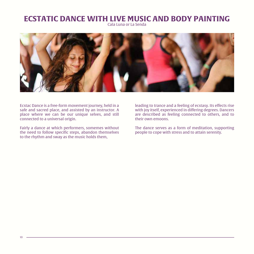# **ECSTATIC DANCE WITH LIVE MUSIC AND BODY PAINTING**

Cala Luna or La Senda



Ecstac Dance is a free-form movement journey, held in a safe and sacred place, and assisted by an instructor. A place where we can be our unique selves, and still connected to a universal origin.

Fairly a dance at which performers, somemes without the need to follow specific steps, abandon themselves to the rhythm and sway as the music holds them,

leading to trance and a feeling of ecstasy. Its effects rise with joy itself, experienced in differing degrees. Dancers are described as feeling connected to others, and to their own emoons.

The dance serves as a form of meditation, supporting people to cope with stress and to attain serenity.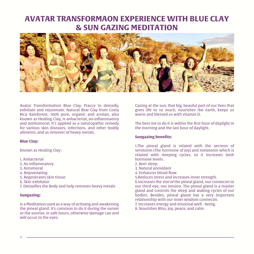# **AVATAR TRANSFORMAON EXPERIENCE WITH BLUE CLAY & SUN GAZING MEDITATION**



Avatar Transformation Blue Clay. Pracce to detoxify, exfoliate and rejuvenate. Natural Blue Clay from Costa Rica Rainforest, 100% pure, organic and arstian, also known as Healing Clay, is anbacterial, an-inflammatory and antitumoral. It's applied as a naturopathic remedy for various skin diseases, infections, and other bodily ailments, and as remover of heavy metals.

#### **Blue Clay:**

Known as Healing Clay :

1. Anbacterial

- 2. An inflammatory
- 3. Antumoral
- 4. Rejuvenating
- 5. Regenerates skin tissue
- 6. Skin exfoliator
- 7. Detoxifies the Body and help removes heavy metals

#### **Sungazing:**

Is a Meditation used as a way of activang and awakening the pineal gland. It's common to do it during the sunset or the sunrise, in safe hours, otherwise damage can and will occur to the eyes.

Gazing at the sun, that big, beauful part of our lives that gives life to so much, nourishes the earth, keeps us warm and blessed us with vitamin D.

The best me to do it is within the first hour of daylight in the morning and the last hour of daylight.

#### **Sungazing benefits:**

1.The pineal gland is related with the secreon of serotonin (The hormone of joy) and melatonin which is related with sleeping cycles, so it increases both hormone levels .

- 2. Beer sleep.
- 3. Natural anoxidant
- 4. Enhances blood flow.
- 5.Reduces stress and increases inner strength.

6.increases the size of the pineal gland, our connecon to our third eye, our intuion. The pineal gland is a master gland and controls the sleep and waking cycles of our bodies. Besides, pineal gland has a very important relationship with our inner wisdom connecon.

- 7. Increases energy and emoonal well being.
- 8. Nourishes Bliss, joy, peace, and calm.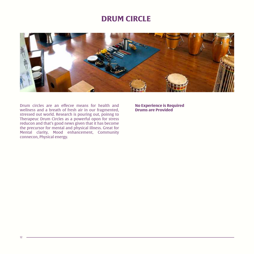## **DRUM CIRCLE**



Drum circles are an effecve means for health and wellness and a breath of fresh air in our fragmented, stressed out world. Research is pouring out, poinng to Therapeuc Drum Circles as a powerful opon for stress reducon and that's good news given that it has become the precursor for mental and physical illness. Great for Mental clarity, Mood enhancement, Community connecon, Physical energy.

**No Experience is Required Drums are Provided**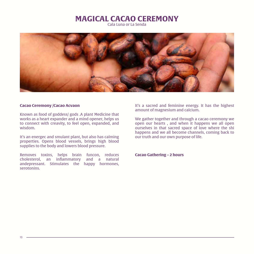### **MAGICAL CACAO CEREMONY**

Cala Luna or La Senda



#### **Cacao Ceremony /Cacao Acvaon**

Known as food of goddess/ gods .A plant Medicine that works as a heart expander and a mind opener, helps us to connect with creavity, to feel open, expanded, and wisdom.

It's an energec and smulant plant, but also has calming properties. Opens blood vessels, brings high blood supplies to the body and lowers blood pressure.

Removes toxins, helps brain funcon, reduces cholesterol, an inflammatory and a natural andepressant. Stimulates the happy hormones, serotonins.

It's a sacred and feminine energy. It has the highest amount of magnesium and calcium.

We gather together and through a cacao ceremony we open our hearts , and when it happens we all open ourselves in that sacred space of love where the shi happens and we all become channels, coming back to our truth and our own purpose of life.

**Cacao Gathering – 2 hours**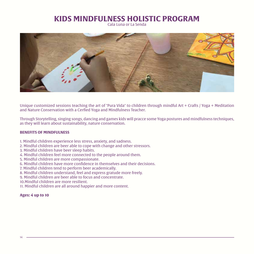# **KIDS MINDFULNESS HOLISTIC PROGRAM**

Cala Luna or La Senda



Unique customized sessions teaching the art of "Pura Vida" to children through mindful Art + Crafts / Yoga + Meditation and Nature Conservation with a Cerfied Yoga and Mindfulness Teacher.

Through Storytelling, singing songs, dancing and games kids will pracce some Yoga postures and mindfulness techniques, as they will learn about sustainability, nature conservation.

#### **BENEFITS OF MINDFULNESS**

- 1. Mindful children experience less stress, anxiety, and sadness.
- 2. Mindful children are beer able to cope with change and other stressors.
- 3. Mindful children have beer sleep habits.
- 4. Mindful children feel more connected to the people around them.
- 5. Mindful children are more compassionate.
- 6. Mindful children have more confidence in themselves and their decisions.
- 7. Mindful children tend to perform beer academically.
- 8. Mindful children understand, feel and express gratude more freely.
- 9. Mindful children are beer able to focus and concentrate.
- 10.Mindful children are more resilient.
- 11. Mindful children are all around happier and more content.

#### **Ages: 4 up to 10**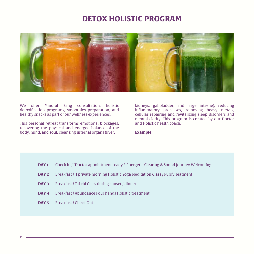### **· ASSIMILATION HOLISTIC PROGRAM DETOX HOLISTIC PROGRAM**



We offer Mindful Eang consultation, holistic detoxification programs, smoothies preparation, and healthy snacks as part of our wellness experiences.

This personal retreat transforms emotional blockages, recovering the physical and energec balance of the body, mind, and soul, cleansing internal organs (liver,

kidneys, gallbladder, and large intesne), reducing inflammatory processes, removing heavy metals, cellular repairing and revitalizing sleep disorders and mental clarity. This program is created by our Doctor and Holistic health coach.

**Example:**

- Breakfast / 1 private morning Holistic Yoga Meditation Class / Purify Teatment **DAY 2**
- Breakfast / Tai chi Class during sunset / dinner **DAY 3**
- Breakfast / Abundance Four hands Holistic treatment **DAY 4**
- Breakfast / Check Out **DAY 5**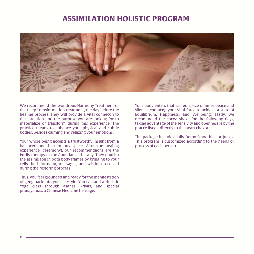## **ASSIMILATION HOLISTIC PROGRAM**



We recommend the wondrous Harmony Treatment or the Deep Transformation treatment, the day before the healing process. They will provide a vital connecon to the intention and the purpose you are looking for to materialize or transform during this experience. The practice means to enhance your physical and subtle bodies, besides calming and relaxing your emotions.

Your whole being accepts a trustworthy insight from a balanced and harmonious space. After the healing experience (ceremony), our recommendaons are the Purify therapy or the Abundance therapy. They nourish the assimilaon in both body frames by bringing to your cells the informaon, messages, and wisdom received during the restoring process.

Thus, you feel grounded and ready for the manifestation of geng back into your lifestyle. You can add a Holistic Yoga class through asanas, kriyas, and special pranayamas, a Chinese Medicine heritage.

Your body enters that sacred space of inner peace and silence, contacng your vital force to achieve a state of Equilibrium, Happiness, and Wellbeing. Lastly, we recommend the cocoa shake for the following days, taking advantage of the sensivity and openness le by the pracce lived—directly to the heart chakra.

The package includes daily Detox Smoothies or Juices. This program is customized according to the needs or process of each person.